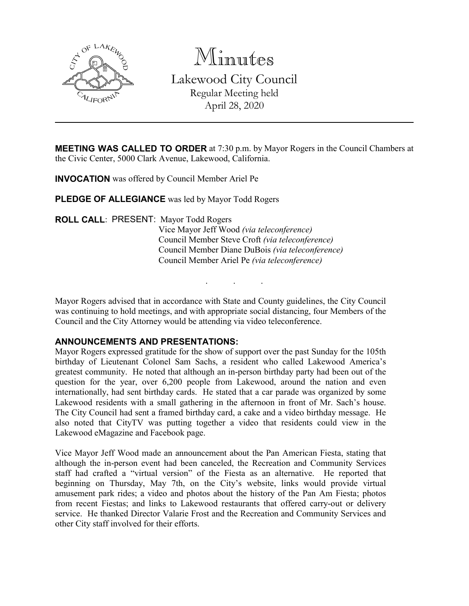

Minutes Lakewood City Council Regular Meeting held April 28, 2020

**MEETING WAS CALLED TO ORDER** at 7:30 p.m. by Mayor Rogers in the Council Chambers at the Civic Center, 5000 Clark Avenue, Lakewood, California.

**INVOCATION** was offered by Council Member Ariel Pe

**PLEDGE OF ALLEGIANCE** was led by Mayor Todd Rogers

**ROLL CALL**: PRESENT: Mayor Todd Rogers Vice Mayor Jeff Wood *(via teleconference)* Council Member Steve Croft *(via teleconference)* Council Member Diane DuBois *(via teleconference)* Council Member Ariel Pe *(via teleconference)*

Mayor Rogers advised that in accordance with State and County guidelines, the City Council was continuing to hold meetings, and with appropriate social distancing, four Members of the Council and the City Attorney would be attending via video teleconference.

. . .

### **ANNOUNCEMENTS AND PRESENTATIONS:**

Mayor Rogers expressed gratitude for the show of support over the past Sunday for the 105th birthday of Lieutenant Colonel Sam Sachs, a resident who called Lakewood America's greatest community. He noted that although an in-person birthday party had been out of the question for the year, over 6,200 people from Lakewood, around the nation and even internationally, had sent birthday cards. He stated that a car parade was organized by some Lakewood residents with a small gathering in the afternoon in front of Mr. Sach's house. The City Council had sent a framed birthday card, a cake and a video birthday message. He also noted that CityTV was putting together a video that residents could view in the Lakewood eMagazine and Facebook page.

Vice Mayor Jeff Wood made an announcement about the Pan American Fiesta, stating that although the in-person event had been canceled, the Recreation and Community Services staff had crafted a "virtual version" of the Fiesta as an alternative. He reported that beginning on Thursday, May 7th, on the City's website, links would provide virtual amusement park rides; a video and photos about the history of the Pan Am Fiesta; photos from recent Fiestas; and links to Lakewood restaurants that offered carry-out or delivery service. He thanked Director Valarie Frost and the Recreation and Community Services and other City staff involved for their efforts.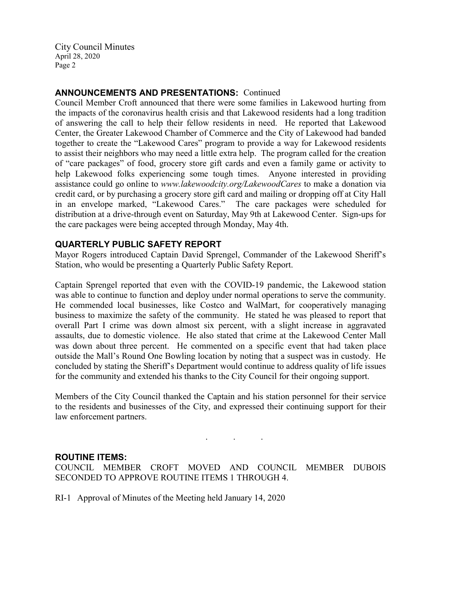# **ANNOUNCEMENTS AND PRESENTATIONS:** Continued

Council Member Croft announced that there were some families in Lakewood hurting from the impacts of the coronavirus health crisis and that Lakewood residents had a long tradition of answering the call to help their fellow residents in need. He reported that Lakewood Center, the Greater Lakewood Chamber of Commerce and the City of Lakewood had banded together to create the "Lakewood Cares" program to provide a way for Lakewood residents to assist their neighbors who may need a little extra help. The program called for the creation of "care packages" of food, grocery store gift cards and even a family game or activity to help Lakewood folks experiencing some tough times. Anyone interested in providing assistance could go online to *www.lakewoodcity.org/LakewoodCares* to make a donation via credit card, or by purchasing a grocery store gift card and mailing or dropping off at City Hall in an envelope marked, "Lakewood Cares." The care packages were scheduled for distribution at a drive-through event on Saturday, May 9th at Lakewood Center. Sign-ups for the care packages were being accepted through Monday, May 4th.

### **QUARTERLY PUBLIC SAFETY REPORT**

Mayor Rogers introduced Captain David Sprengel, Commander of the Lakewood Sheriff's Station, who would be presenting a Quarterly Public Safety Report.

Captain Sprengel reported that even with the COVID-19 pandemic, the Lakewood station was able to continue to function and deploy under normal operations to serve the community. He commended local businesses, like Costco and WalMart, for cooperatively managing business to maximize the safety of the community. He stated he was pleased to report that overall Part I crime was down almost six percent, with a slight increase in aggravated assaults, due to domestic violence. He also stated that crime at the Lakewood Center Mall was down about three percent. He commented on a specific event that had taken place outside the Mall's Round One Bowling location by noting that a suspect was in custody. He concluded by stating the Sheriff's Department would continue to address quality of life issues for the community and extended his thanks to the City Council for their ongoing support.

Members of the City Council thanked the Captain and his station personnel for their service to the residents and businesses of the City, and expressed their continuing support for their law enforcement partners.

. . .

### **ROUTINE ITEMS:**

COUNCIL MEMBER CROFT MOVED AND COUNCIL MEMBER DUBOIS SECONDED TO APPROVE ROUTINE ITEMS 1 THROUGH 4.

RI-1 Approval of Minutes of the Meeting held January 14, 2020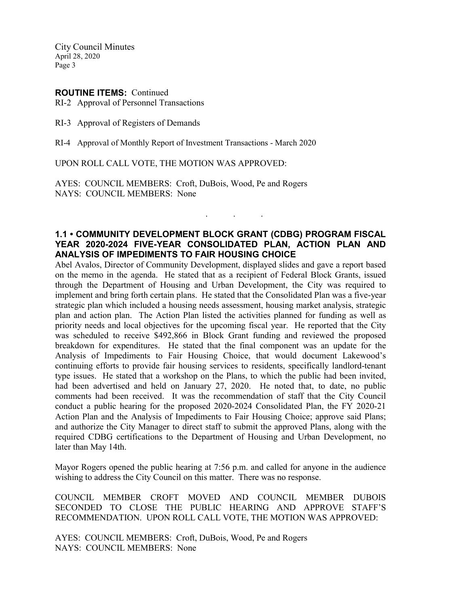#### **ROUTINE ITEMS:** Continued

RI-2 Approval of Personnel Transactions

RI-3 Approval of Registers of Demands

RI-4 Approval of Monthly Report of Investment Transactions - March 2020

UPON ROLL CALL VOTE, THE MOTION WAS APPROVED:

AYES: COUNCIL MEMBERS: Croft, DuBois, Wood, Pe and Rogers NAYS: COUNCIL MEMBERS: None

# **1.1 • COMMUNITY DEVELOPMENT BLOCK GRANT (CDBG) PROGRAM FISCAL YEAR 2020-2024 FIVE-YEAR CONSOLIDATED PLAN, ACTION PLAN AND ANALYSIS OF IMPEDIMENTS TO FAIR HOUSING CHOICE**

. . .

Abel Avalos, Director of Community Development, displayed slides and gave a report based on the memo in the agenda. He stated that as a recipient of Federal Block Grants, issued through the Department of Housing and Urban Development, the City was required to implement and bring forth certain plans. He stated that the Consolidated Plan was a five-year strategic plan which included a housing needs assessment, housing market analysis, strategic plan and action plan. The Action Plan listed the activities planned for funding as well as priority needs and local objectives for the upcoming fiscal year. He reported that the City was scheduled to receive \$492,866 in Block Grant funding and reviewed the proposed breakdown for expenditures. He stated that the final component was an update for the Analysis of Impediments to Fair Housing Choice, that would document Lakewood's continuing efforts to provide fair housing services to residents, specifically landlord-tenant type issues. He stated that a workshop on the Plans, to which the public had been invited, had been advertised and held on January 27, 2020. He noted that, to date, no public comments had been received. It was the recommendation of staff that the City Council conduct a public hearing for the proposed 2020-2024 Consolidated Plan, the FY 2020-21 Action Plan and the Analysis of Impediments to Fair Housing Choice; approve said Plans; and authorize the City Manager to direct staff to submit the approved Plans, along with the required CDBG certifications to the Department of Housing and Urban Development, no later than May 14th.

Mayor Rogers opened the public hearing at 7:56 p.m. and called for anyone in the audience wishing to address the City Council on this matter. There was no response.

COUNCIL MEMBER CROFT MOVED AND COUNCIL MEMBER DUBOIS SECONDED TO CLOSE THE PUBLIC HEARING AND APPROVE STAFF'S RECOMMENDATION. UPON ROLL CALL VOTE, THE MOTION WAS APPROVED:

AYES: COUNCIL MEMBERS: Croft, DuBois, Wood, Pe and Rogers NAYS: COUNCIL MEMBERS: None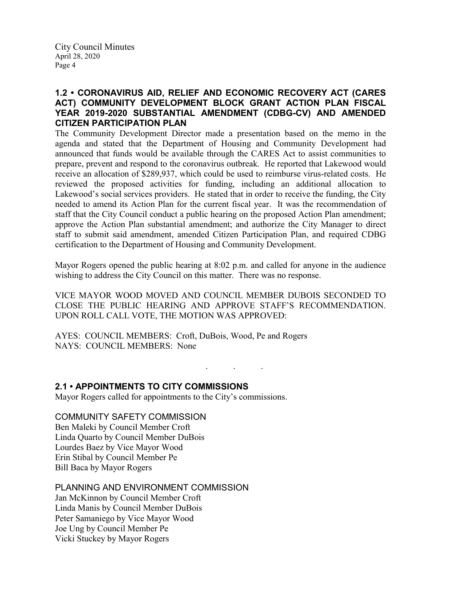# **1.2 • CORONAVIRUS AID, RELIEF AND ECONOMIC RECOVERY ACT (CARES ACT) COMMUNITY DEVELOPMENT BLOCK GRANT ACTION PLAN FISCAL YEAR 2019-2020 SUBSTANTIAL AMENDMENT (CDBG-CV) AND AMENDED CITIZEN PARTICIPATION PLAN**

The Community Development Director made a presentation based on the memo in the agenda and stated that the Department of Housing and Community Development had announced that funds would be available through the CARES Act to assist communities to prepare, prevent and respond to the coronavirus outbreak. He reported that Lakewood would receive an allocation of \$289,937, which could be used to reimburse virus-related costs. He reviewed the proposed activities for funding, including an additional allocation to Lakewood's social services providers. He stated that in order to receive the funding, the City needed to amend its Action Plan for the current fiscal year. It was the recommendation of staff that the City Council conduct a public hearing on the proposed Action Plan amendment; approve the Action Plan substantial amendment; and authorize the City Manager to direct staff to submit said amendment, amended Citizen Participation Plan, and required CDBG certification to the Department of Housing and Community Development.

Mayor Rogers opened the public hearing at 8:02 p.m. and called for anyone in the audience wishing to address the City Council on this matter. There was no response.

VICE MAYOR WOOD MOVED AND COUNCIL MEMBER DUBOIS SECONDED TO CLOSE THE PUBLIC HEARING AND APPROVE STAFF'S RECOMMENDATION. UPON ROLL CALL VOTE, THE MOTION WAS APPROVED:

. . .

AYES: COUNCIL MEMBERS: Croft, DuBois, Wood, Pe and Rogers NAYS: COUNCIL MEMBERS: None

**2.1 • APPOINTMENTS TO CITY COMMISSIONS**

Mayor Rogers called for appointments to the City's commissions.

COMMUNITY SAFETY COMMISSION

Ben Maleki by Council Member Croft Linda Quarto by Council Member DuBois Lourdes Baez by Vice Mayor Wood Erin Stibal by Council Member Pe Bill Baca by Mayor Rogers

PLANNING AND ENVIRONMENT COMMISSION

Jan McKinnon by Council Member Croft Linda Manis by Council Member DuBois Peter Samaniego by Vice Mayor Wood Joe Ung by Council Member Pe Vicki Stuckey by Mayor Rogers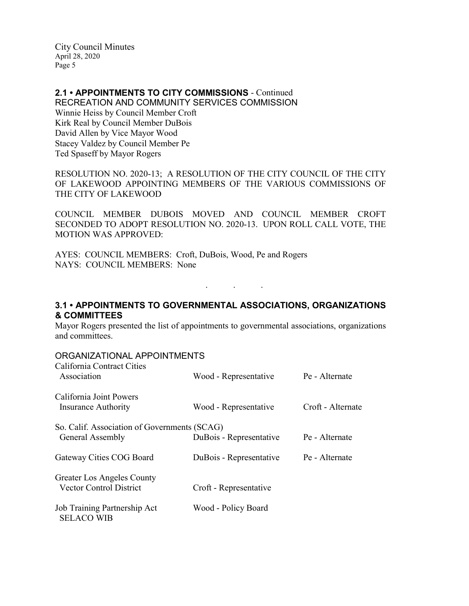# **2.1 • APPOINTMENTS TO CITY COMMISSIONS** - Continued

RECREATION AND COMMUNITY SERVICES COMMISSION Winnie Heiss by Council Member Croft Kirk Real by Council Member DuBois David Allen by Vice Mayor Wood Stacey Valdez by Council Member Pe Ted Spaseff by Mayor Rogers

RESOLUTION NO. 2020-13; A RESOLUTION OF THE CITY COUNCIL OF THE CITY OF LAKEWOOD APPOINTING MEMBERS OF THE VARIOUS COMMISSIONS OF THE CITY OF LAKEWOOD

COUNCIL MEMBER DUBOIS MOVED AND COUNCIL MEMBER CROFT SECONDED TO ADOPT RESOLUTION NO. 2020-13. UPON ROLL CALL VOTE, THE MOTION WAS APPROVED:

AYES: COUNCIL MEMBERS: Croft, DuBois, Wood, Pe and Rogers NAYS: COUNCIL MEMBERS: None

**3.1 • APPOINTMENTS TO GOVERNMENTAL ASSOCIATIONS, ORGANIZATIONS & COMMITTEES**

. . .

Mayor Rogers presented the list of appointments to governmental associations, organizations and committees.

### ORGANIZATIONAL APPOINTMENTS

| California Contract Cities<br>Association             | Wood - Representative   | Pe - Alternate    |
|-------------------------------------------------------|-------------------------|-------------------|
| California Joint Powers<br><b>Insurance Authority</b> | Wood - Representative   | Croft - Alternate |
| So. Calif. Association of Governments (SCAG)          |                         |                   |
| General Assembly                                      | DuBois - Representative | Pe - Alternate    |
| Gateway Cities COG Board                              | DuBois - Representative | Pe - Alternate    |
| Greater Los Angeles County                            |                         |                   |
| <b>Vector Control District</b>                        | Croft - Representative  |                   |
| Job Training Partnership Act<br><b>SELACO WIB</b>     | Wood - Policy Board     |                   |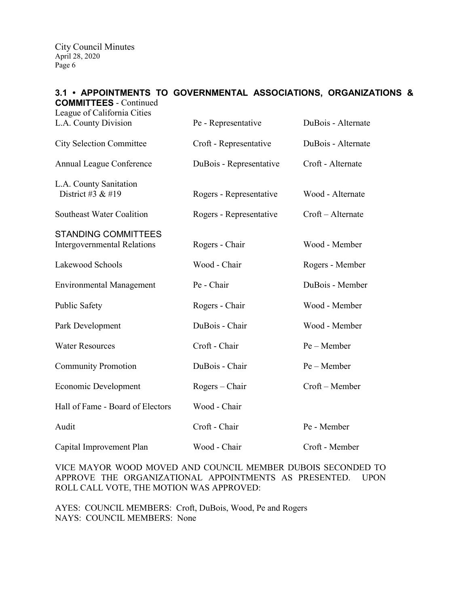### **3.1 • APPOINTMENTS TO GOVERNMENTAL ASSOCIATIONS, ORGANIZATIONS & COMMITTEES** - Continued

| League of California Cities                                      |                         |                    |
|------------------------------------------------------------------|-------------------------|--------------------|
| L.A. County Division                                             | Pe - Representative     | DuBois - Alternate |
| <b>City Selection Committee</b>                                  | Croft - Representative  | DuBois - Alternate |
| Annual League Conference                                         | DuBois - Representative | Croft - Alternate  |
| L.A. County Sanitation<br>District #3 $&$ #19                    | Rogers - Representative | Wood - Alternate   |
| Southeast Water Coalition                                        | Rogers - Representative | Croft - Alternate  |
| <b>STANDING COMMITTEES</b><br><b>Intergovernmental Relations</b> | Rogers - Chair          | Wood - Member      |
| Lakewood Schools                                                 | Wood - Chair            | Rogers - Member    |
| <b>Environmental Management</b>                                  | Pe - Chair              | DuBois - Member    |
| <b>Public Safety</b>                                             | Rogers - Chair          | Wood - Member      |
| Park Development                                                 | DuBois - Chair          | Wood - Member      |
| <b>Water Resources</b>                                           | Croft - Chair           | $Pe - Member$      |
| <b>Community Promotion</b>                                       | DuBois - Chair          | Pe - Member        |
| Economic Development                                             | $Rogers - Chair$        | Croft - Member     |
| Hall of Fame - Board of Electors                                 | Wood - Chair            |                    |
| Audit                                                            | Croft - Chair           | Pe - Member        |
| Capital Improvement Plan                                         | Wood - Chair            | Croft - Member     |

VICE MAYOR WOOD MOVED AND COUNCIL MEMBER DUBOIS SECONDED TO APPROVE THE ORGANIZATIONAL APPOINTMENTS AS PRESENTED. UPON ROLL CALL VOTE, THE MOTION WAS APPROVED:

AYES: COUNCIL MEMBERS: Croft, DuBois, Wood, Pe and Rogers NAYS: COUNCIL MEMBERS: None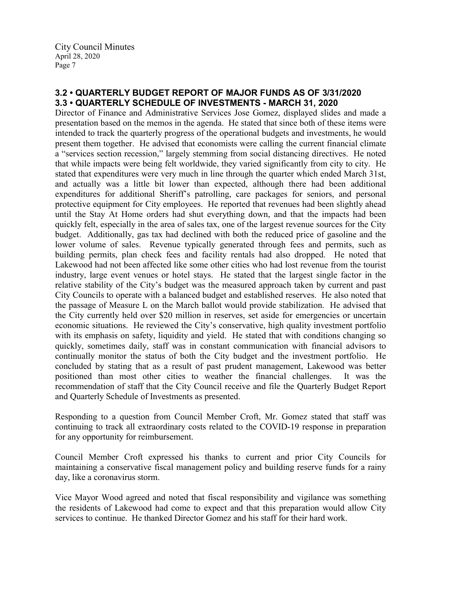# **3.2 • QUARTERLY BUDGET REPORT OF MAJOR FUNDS AS OF 3/31/2020 3.3 • QUARTERLY SCHEDULE OF INVESTMENTS - MARCH 31, 2020**

Director of Finance and Administrative Services Jose Gomez, displayed slides and made a presentation based on the memos in the agenda. He stated that since both of these items were intended to track the quarterly progress of the operational budgets and investments, he would present them together. He advised that economists were calling the current financial climate a "services section recession," largely stemming from social distancing directives. He noted that while impacts were being felt worldwide, they varied significantly from city to city. He stated that expenditures were very much in line through the quarter which ended March 31st, and actually was a little bit lower than expected, although there had been additional expenditures for additional Sheriff's patrolling, care packages for seniors, and personal protective equipment for City employees. He reported that revenues had been slightly ahead until the Stay At Home orders had shut everything down, and that the impacts had been quickly felt, especially in the area of sales tax, one of the largest revenue sources for the City budget. Additionally, gas tax had declined with both the reduced price of gasoline and the lower volume of sales. Revenue typically generated through fees and permits, such as building permits, plan check fees and facility rentals had also dropped. He noted that Lakewood had not been affected like some other cities who had lost revenue from the tourist industry, large event venues or hotel stays. He stated that the largest single factor in the relative stability of the City's budget was the measured approach taken by current and past City Councils to operate with a balanced budget and established reserves. He also noted that the passage of Measure L on the March ballot would provide stabilization. He advised that the City currently held over \$20 million in reserves, set aside for emergencies or uncertain economic situations. He reviewed the City's conservative, high quality investment portfolio with its emphasis on safety, liquidity and yield. He stated that with conditions changing so quickly, sometimes daily, staff was in constant communication with financial advisors to continually monitor the status of both the City budget and the investment portfolio. He concluded by stating that as a result of past prudent management, Lakewood was better positioned than most other cities to weather the financial challenges. It was the recommendation of staff that the City Council receive and file the Quarterly Budget Report and Quarterly Schedule of Investments as presented.

Responding to a question from Council Member Croft, Mr. Gomez stated that staff was continuing to track all extraordinary costs related to the COVID-19 response in preparation for any opportunity for reimbursement.

Council Member Croft expressed his thanks to current and prior City Councils for maintaining a conservative fiscal management policy and building reserve funds for a rainy day, like a coronavirus storm.

Vice Mayor Wood agreed and noted that fiscal responsibility and vigilance was something the residents of Lakewood had come to expect and that this preparation would allow City services to continue. He thanked Director Gomez and his staff for their hard work.